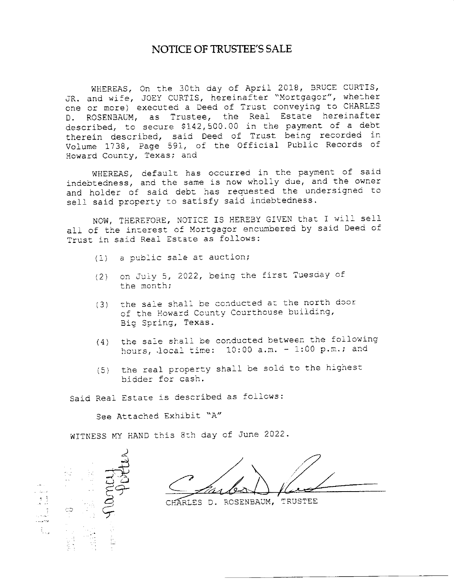## **NOTICE OF TRUSTEE'S SALE**

WHEREAS, On the 30th day of April 2018, BRUCE CURTIS, JR. and wife, JOEY CURTIS, hereinafter "Mortgagor", whether one or more) executed a Deed of Trust conveying to CHARLES D. ROSENBAUM, as Trustee, the Real Estate hereinafter described, to secure \$142,500.00 in the payment of a debt therein described, said Deed of Trust being recorded in Volume 1738, Page 591, of the Official Public Records of Howard County, Texas; and

WHEREAS, default has occurred in the payment of said indebtedness, and the same is now wholly due, and the owner and holder of said debt has requested the undersigned to sell said property to satisfy said indebtedness.

NOW, THEREFORE, NOTICE IS HEREBY GIVEN that I will sell all of the interest of Mortgagor encumbered by said Deed of Trust in said Real Estate as follows:

- (1) a public sale at auction;
- (2) on July 5, 2022, being the first Tuesday of the month;
- (3) the sale shall be conducted at the north door of the Howard County Courthouse building, Big Spring, Texas.
- the sale shall be conducted between the following  $(4)$ hours, local time:  $10:00$  a.m.  $-1:00$  p.m.; and
- the real property shall be sold to the highest  $(5)$ hidder for cash.

Said Real Estate is described as follows:

See Attached Exhibit "A"

WITNESS MY HAND this 8th day of June 2022.



CHARLES D. ROSENBAUM, TRUSTEE